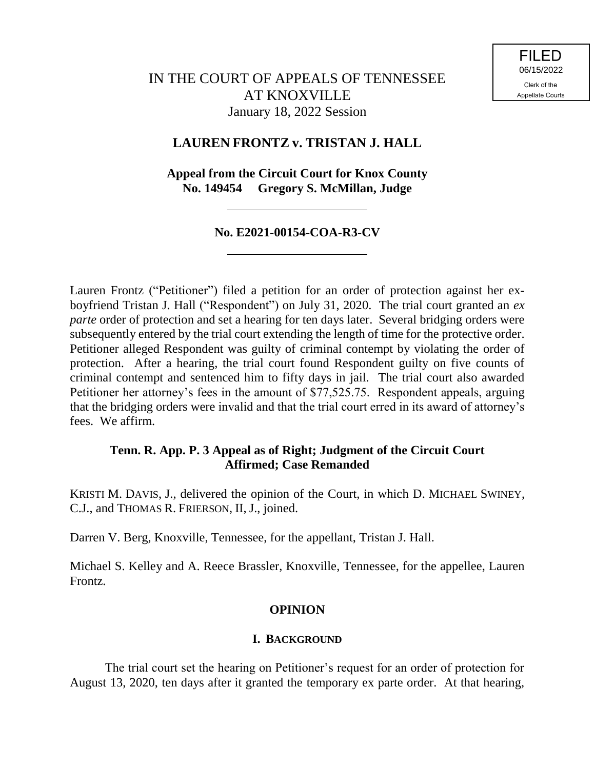# **LAUREN FRONTZ v. TRISTAN J. HALL**

**Appeal from the Circuit Court for Knox County No. 149454 Gregory S. McMillan, Judge**

### **No. E2021-00154-COA-R3-CV**

Lauren Frontz ("Petitioner") filed a petition for an order of protection against her exboyfriend Tristan J. Hall ("Respondent") on July 31, 2020. The trial court granted an *ex parte* order of protection and set a hearing for ten days later. Several bridging orders were subsequently entered by the trial court extending the length of time for the protective order. Petitioner alleged Respondent was guilty of criminal contempt by violating the order of protection. After a hearing, the trial court found Respondent guilty on five counts of criminal contempt and sentenced him to fifty days in jail. The trial court also awarded Petitioner her attorney's fees in the amount of \$77,525.75. Respondent appeals, arguing that the bridging orders were invalid and that the trial court erred in its award of attorney's fees. We affirm.

## **Tenn. R. App. P. 3 Appeal as of Right; Judgment of the Circuit Court Affirmed; Case Remanded**

KRISTI M. DAVIS, J., delivered the opinion of the Court, in which D. MICHAEL SWINEY, C.J., and THOMAS R. FRIERSON, II, J., joined.

Darren V. Berg, Knoxville, Tennessee, for the appellant, Tristan J. Hall.

Michael S. Kelley and A. Reece Brassler, Knoxville, Tennessee, for the appellee, Lauren Frontz.

## **OPINION**

### **I. BACKGROUND**

The trial court set the hearing on Petitioner's request for an order of protection for August 13, 2020, ten days after it granted the temporary ex parte order. At that hearing,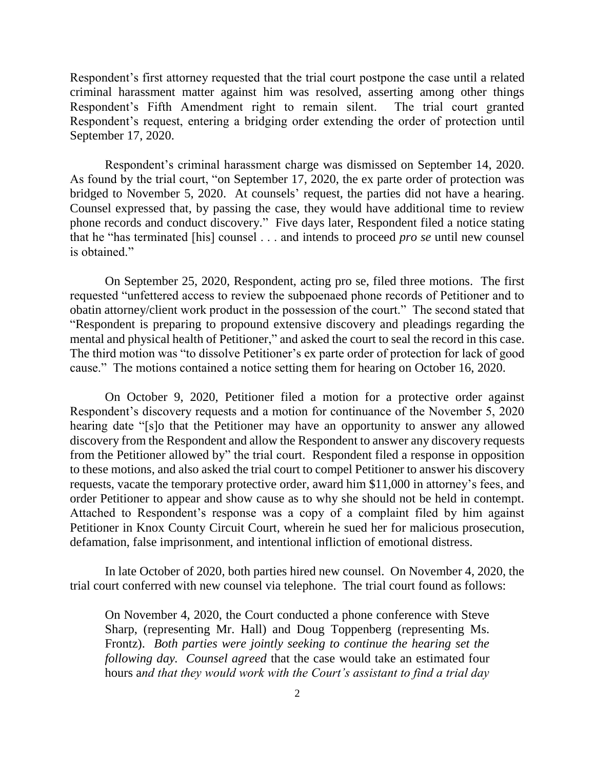Respondent's first attorney requested that the trial court postpone the case until a related criminal harassment matter against him was resolved, asserting among other things Respondent's Fifth Amendment right to remain silent. The trial court granted Respondent's request, entering a bridging order extending the order of protection until September 17, 2020.

Respondent's criminal harassment charge was dismissed on September 14, 2020. As found by the trial court, "on September 17, 2020, the ex parte order of protection was bridged to November 5, 2020. At counsels' request, the parties did not have a hearing. Counsel expressed that, by passing the case, they would have additional time to review phone records and conduct discovery." Five days later, Respondent filed a notice stating that he "has terminated [his] counsel . . . and intends to proceed *pro se* until new counsel is obtained."

On September 25, 2020, Respondent, acting pro se, filed three motions. The first requested "unfettered access to review the subpoenaed phone records of Petitioner and to obatin attorney/client work product in the possession of the court." The second stated that "Respondent is preparing to propound extensive discovery and pleadings regarding the mental and physical health of Petitioner," and asked the court to seal the record in this case. The third motion was "to dissolve Petitioner's ex parte order of protection for lack of good cause." The motions contained a notice setting them for hearing on October 16, 2020.

On October 9, 2020, Petitioner filed a motion for a protective order against Respondent's discovery requests and a motion for continuance of the November 5, 2020 hearing date "[s]o that the Petitioner may have an opportunity to answer any allowed discovery from the Respondent and allow the Respondent to answer any discovery requests from the Petitioner allowed by" the trial court. Respondent filed a response in opposition to these motions, and also asked the trial court to compel Petitioner to answer his discovery requests, vacate the temporary protective order, award him \$11,000 in attorney's fees, and order Petitioner to appear and show cause as to why she should not be held in contempt. Attached to Respondent's response was a copy of a complaint filed by him against Petitioner in Knox County Circuit Court, wherein he sued her for malicious prosecution, defamation, false imprisonment, and intentional infliction of emotional distress.

In late October of 2020, both parties hired new counsel. On November 4, 2020, the trial court conferred with new counsel via telephone. The trial court found as follows:

On November 4, 2020, the Court conducted a phone conference with Steve Sharp, (representing Mr. Hall) and Doug Toppenberg (representing Ms. Frontz). *Both parties were jointly seeking to continue the hearing set the following day. Counsel agreed* that the case would take an estimated four hours a*nd that they would work with the Court's assistant to find a trial day*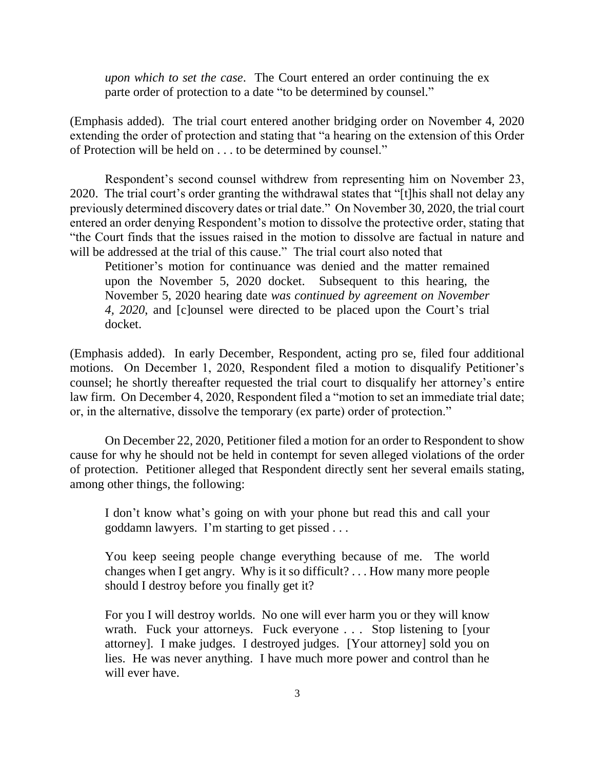*upon which to set the case*. The Court entered an order continuing the ex parte order of protection to a date "to be determined by counsel."

(Emphasis added). The trial court entered another bridging order on November 4, 2020 extending the order of protection and stating that "a hearing on the extension of this Order of Protection will be held on . . . to be determined by counsel."

Respondent's second counsel withdrew from representing him on November 23, 2020. The trial court's order granting the withdrawal states that "[t]his shall not delay any previously determined discovery dates or trial date." On November 30, 2020, the trial court entered an order denying Respondent's motion to dissolve the protective order, stating that "the Court finds that the issues raised in the motion to dissolve are factual in nature and will be addressed at the trial of this cause." The trial court also noted that

Petitioner's motion for continuance was denied and the matter remained upon the November 5, 2020 docket. Subsequent to this hearing, the November 5, 2020 hearing date *was continued by agreement on November 4, 2020*, and [c]ounsel were directed to be placed upon the Court's trial docket.

(Emphasis added). In early December, Respondent, acting pro se, filed four additional motions. On December 1, 2020, Respondent filed a motion to disqualify Petitioner's counsel; he shortly thereafter requested the trial court to disqualify her attorney's entire law firm. On December 4, 2020, Respondent filed a "motion to set an immediate trial date; or, in the alternative, dissolve the temporary (ex parte) order of protection."

On December 22, 2020, Petitioner filed a motion for an order to Respondent to show cause for why he should not be held in contempt for seven alleged violations of the order of protection. Petitioner alleged that Respondent directly sent her several emails stating, among other things, the following:

I don't know what's going on with your phone but read this and call your goddamn lawyers. I'm starting to get pissed . . .

You keep seeing people change everything because of me. The world changes when I get angry. Why is it so difficult? . . . How many more people should I destroy before you finally get it?

For you I will destroy worlds. No one will ever harm you or they will know wrath. Fuck your attorneys. Fuck everyone . . . Stop listening to [your attorney]. I make judges. I destroyed judges. [Your attorney] sold you on lies. He was never anything. I have much more power and control than he will ever have.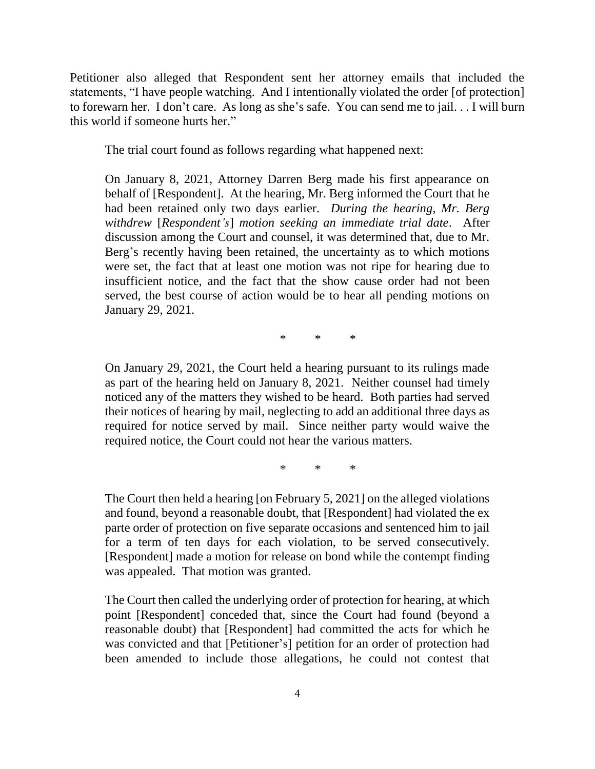Petitioner also alleged that Respondent sent her attorney emails that included the statements, "I have people watching. And I intentionally violated the order [of protection] to forewarn her. I don't care. As long as she's safe. You can send me to jail. . . I will burn this world if someone hurts her."

The trial court found as follows regarding what happened next:

On January 8, 2021, Attorney Darren Berg made his first appearance on behalf of [Respondent]. At the hearing, Mr. Berg informed the Court that he had been retained only two days earlier. *During the hearing, Mr. Berg withdrew* [*Respondent's*] *motion seeking an immediate trial date*. After discussion among the Court and counsel, it was determined that, due to Mr. Berg's recently having been retained, the uncertainty as to which motions were set, the fact that at least one motion was not ripe for hearing due to insufficient notice, and the fact that the show cause order had not been served, the best course of action would be to hear all pending motions on January 29, 2021.

\* \* \*

On January 29, 2021, the Court held a hearing pursuant to its rulings made as part of the hearing held on January 8, 2021. Neither counsel had timely noticed any of the matters they wished to be heard. Both parties had served their notices of hearing by mail, neglecting to add an additional three days as required for notice served by mail. Since neither party would waive the required notice, the Court could not hear the various matters.

\* \* \*

The Court then held a hearing [on February 5, 2021] on the alleged violations and found, beyond a reasonable doubt, that [Respondent] had violated the ex parte order of protection on five separate occasions and sentenced him to jail for a term of ten days for each violation, to be served consecutively. [Respondent] made a motion for release on bond while the contempt finding was appealed. That motion was granted.

The Court then called the underlying order of protection for hearing, at which point [Respondent] conceded that, since the Court had found (beyond a reasonable doubt) that [Respondent] had committed the acts for which he was convicted and that [Petitioner's] petition for an order of protection had been amended to include those allegations, he could not contest that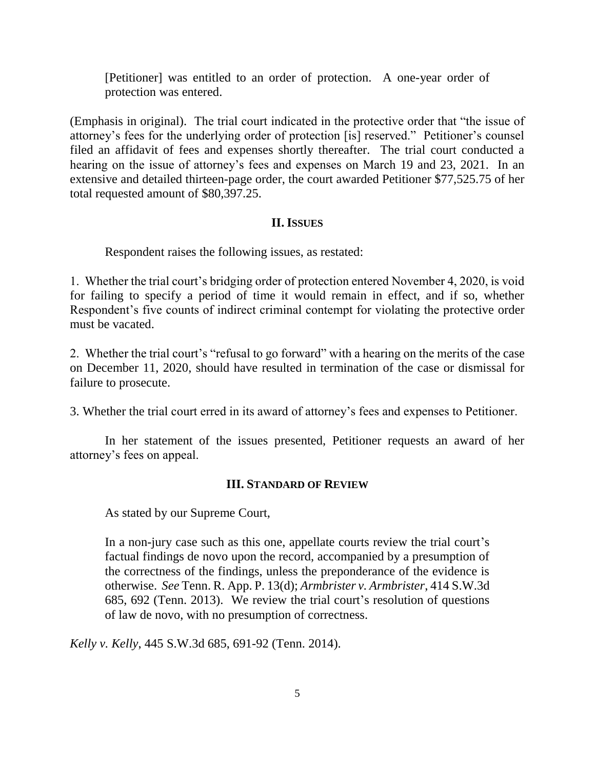[Petitioner] was entitled to an order of protection. A one-year order of protection was entered.

(Emphasis in original). The trial court indicated in the protective order that "the issue of attorney's fees for the underlying order of protection [is] reserved." Petitioner's counsel filed an affidavit of fees and expenses shortly thereafter. The trial court conducted a hearing on the issue of attorney's fees and expenses on March 19 and 23, 2021. In an extensive and detailed thirteen-page order, the court awarded Petitioner \$77,525.75 of her total requested amount of \$80,397.25.

### **II. ISSUES**

Respondent raises the following issues, as restated:

1. Whether the trial court's bridging order of protection entered November 4, 2020, is void for failing to specify a period of time it would remain in effect, and if so, whether Respondent's five counts of indirect criminal contempt for violating the protective order must be vacated.

2. Whether the trial court's "refusal to go forward" with a hearing on the merits of the case on December 11, 2020, should have resulted in termination of the case or dismissal for failure to prosecute.

3. Whether the trial court erred in its award of attorney's fees and expenses to Petitioner.

In her statement of the issues presented, Petitioner requests an award of her attorney's fees on appeal.

### **III. STANDARD OF REVIEW**

As stated by our Supreme Court,

In a non-jury case such as this one, appellate courts review the trial court's factual findings de novo upon the record, accompanied by a presumption of the correctness of the findings, unless the preponderance of the evidence is otherwise. *See* Tenn. R. App. P. 13(d); *Armbrister v. Armbrister*, 414 S.W.3d 685, 692 (Tenn. 2013). We review the trial court's resolution of questions of law de novo, with no presumption of correctness.

*Kelly v. Kelly*, 445 S.W.3d 685, 691-92 (Tenn. 2014).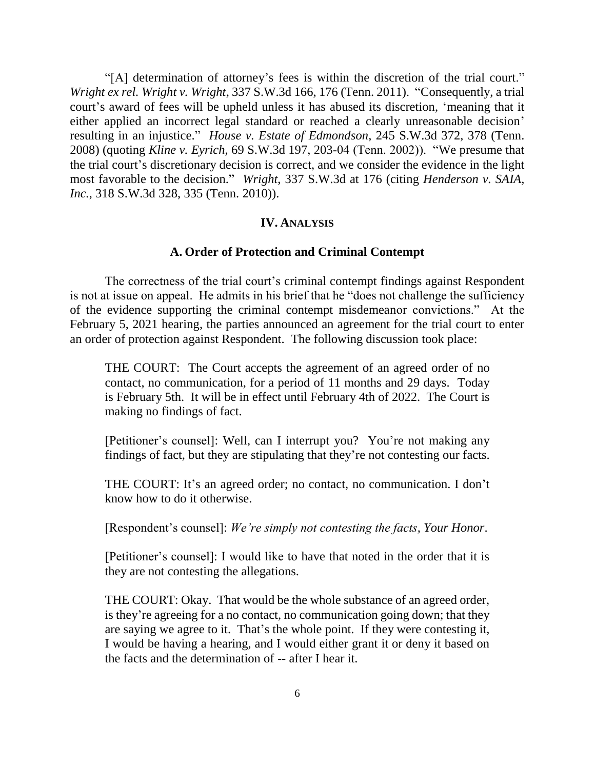"[A] determination of attorney's fees is within the discretion of the trial court." *Wright ex rel. Wright v. Wright*, 337 S.W.3d 166, 176 (Tenn. 2011). "Consequently, a trial court's award of fees will be upheld unless it has abused its discretion, 'meaning that it either applied an incorrect legal standard or reached a clearly unreasonable decision' resulting in an injustice." *House v. Estate of Edmondson*, 245 S.W.3d 372, 378 (Tenn. 2008) (quoting *Kline v. Eyrich*, 69 S.W.3d 197, 203-04 (Tenn. 2002)). "We presume that the trial court's discretionary decision is correct, and we consider the evidence in the light most favorable to the decision." *Wright*, 337 S.W.3d at 176 (citing *Henderson v. SAIA, Inc.*, 318 S.W.3d 328, 335 (Tenn. 2010)).

#### **IV. ANALYSIS**

#### **A. Order of Protection and Criminal Contempt**

The correctness of the trial court's criminal contempt findings against Respondent is not at issue on appeal. He admits in his brief that he "does not challenge the sufficiency of the evidence supporting the criminal contempt misdemeanor convictions." At the February 5, 2021 hearing, the parties announced an agreement for the trial court to enter an order of protection against Respondent. The following discussion took place:

THE COURT: The Court accepts the agreement of an agreed order of no contact, no communication, for a period of 11 months and 29 days. Today is February 5th. It will be in effect until February 4th of 2022. The Court is making no findings of fact.

[Petitioner's counsel]: Well, can I interrupt you? You're not making any findings of fact, but they are stipulating that they're not contesting our facts.

THE COURT: It's an agreed order; no contact, no communication. I don't know how to do it otherwise.

[Respondent's counsel]: *We're simply not contesting the facts, Your Honor*.

[Petitioner's counsel]: I would like to have that noted in the order that it is they are not contesting the allegations.

THE COURT: Okay. That would be the whole substance of an agreed order, is they're agreeing for a no contact, no communication going down; that they are saying we agree to it. That's the whole point. If they were contesting it, I would be having a hearing, and I would either grant it or deny it based on the facts and the determination of -- after I hear it.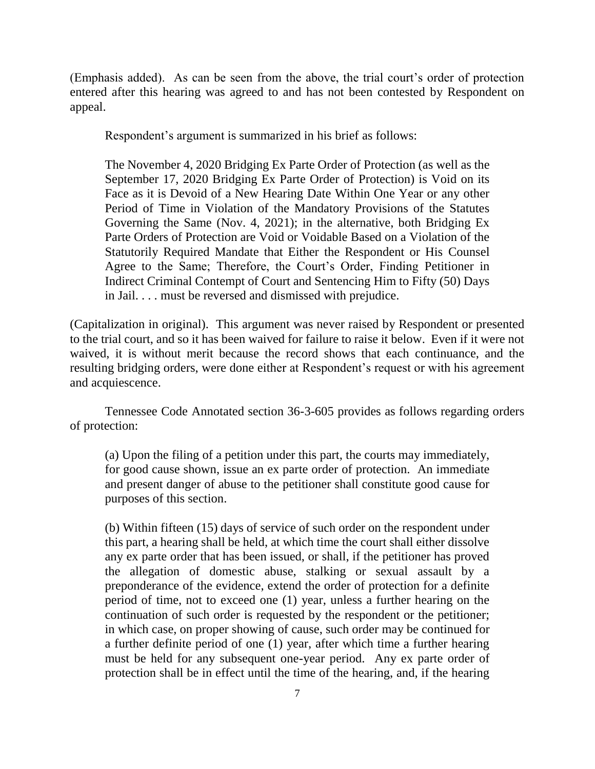(Emphasis added). As can be seen from the above, the trial court's order of protection entered after this hearing was agreed to and has not been contested by Respondent on appeal.

Respondent's argument is summarized in his brief as follows:

The November 4, 2020 Bridging Ex Parte Order of Protection (as well as the September 17, 2020 Bridging Ex Parte Order of Protection) is Void on its Face as it is Devoid of a New Hearing Date Within One Year or any other Period of Time in Violation of the Mandatory Provisions of the Statutes Governing the Same (Nov. 4, 2021); in the alternative, both Bridging Ex Parte Orders of Protection are Void or Voidable Based on a Violation of the Statutorily Required Mandate that Either the Respondent or His Counsel Agree to the Same; Therefore, the Court's Order, Finding Petitioner in Indirect Criminal Contempt of Court and Sentencing Him to Fifty (50) Days in Jail. . . . must be reversed and dismissed with prejudice.

(Capitalization in original). This argument was never raised by Respondent or presented to the trial court, and so it has been waived for failure to raise it below. Even if it were not waived, it is without merit because the record shows that each continuance, and the resulting bridging orders, were done either at Respondent's request or with his agreement and acquiescence.

Tennessee Code Annotated section 36-3-605 provides as follows regarding orders of protection:

(a) Upon the filing of a petition under this part, the courts may immediately, for good cause shown, issue an ex parte order of protection. An immediate and present danger of abuse to the petitioner shall constitute good cause for purposes of this section.

(b) Within fifteen (15) days of service of such order on the respondent under this part, a hearing shall be held, at which time the court shall either dissolve any ex parte order that has been issued, or shall, if the petitioner has proved the allegation of domestic abuse, stalking or sexual assault by a preponderance of the evidence, extend the order of protection for a definite period of time, not to exceed one (1) year, unless a further hearing on the continuation of such order is requested by the respondent or the petitioner; in which case, on proper showing of cause, such order may be continued for a further definite period of one (1) year, after which time a further hearing must be held for any subsequent one-year period. Any ex parte order of protection shall be in effect until the time of the hearing, and, if the hearing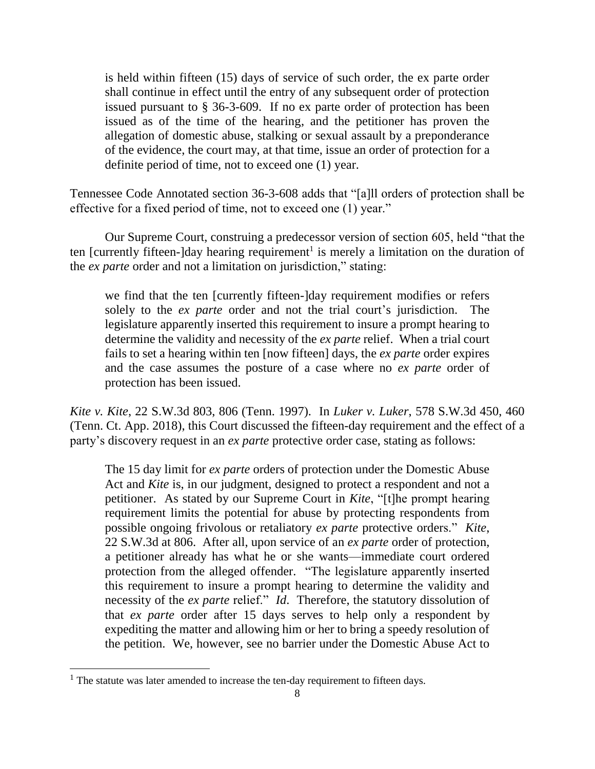is held within fifteen (15) days of service of such order, the ex parte order shall continue in effect until the entry of any subsequent order of protection issued pursuant to § 36-3-609. If no ex parte order of protection has been issued as of the time of the hearing, and the petitioner has proven the allegation of domestic abuse, stalking or sexual assault by a preponderance of the evidence, the court may, at that time, issue an order of protection for a definite period of time, not to exceed one (1) year.

Tennessee Code Annotated section 36-3-608 adds that "[a]ll orders of protection shall be effective for a fixed period of time, not to exceed one (1) year."

Our Supreme Court, construing a predecessor version of section 605, held "that the ten [currently fifteen-]day hearing requirement<sup>1</sup> is merely a limitation on the duration of the *ex parte* order and not a limitation on jurisdiction," stating:

we find that the ten [currently fifteen-]day requirement modifies or refers solely to the *ex parte* order and not the trial court's jurisdiction. The legislature apparently inserted this requirement to insure a prompt hearing to determine the validity and necessity of the *ex parte* relief. When a trial court fails to set a hearing within ten [now fifteen] days, the *ex parte* order expires and the case assumes the posture of a case where no *ex parte* order of protection has been issued.

*Kite v. Kite*, 22 S.W.3d 803, 806 (Tenn. 1997). In *Luker v. Luker*, 578 S.W.3d 450, 460 (Tenn. Ct. App. 2018), this Court discussed the fifteen-day requirement and the effect of a party's discovery request in an *ex parte* protective order case, stating as follows:

The 15 day limit for *ex parte* orders of protection under the Domestic Abuse Act and *Kite* is, in our judgment, designed to protect a respondent and not a petitioner. As stated by our Supreme Court in *Kite*, "[t]he prompt hearing requirement limits the potential for abuse by protecting respondents from possible ongoing frivolous or retaliatory *ex parte* protective orders." *Kite*, 22 S.W.3d at 806. After all, upon service of an *ex parte* order of protection, a petitioner already has what he or she wants—immediate court ordered protection from the alleged offender. "The legislature apparently inserted this requirement to insure a prompt hearing to determine the validity and necessity of the *ex parte* relief." *Id*. Therefore, the statutory dissolution of that *ex parte* order after 15 days serves to help only a respondent by expediting the matter and allowing him or her to bring a speedy resolution of the petition. We, however, see no barrier under the Domestic Abuse Act to

l

 $<sup>1</sup>$  The statute was later amended to increase the ten-day requirement to fifteen days.</sup>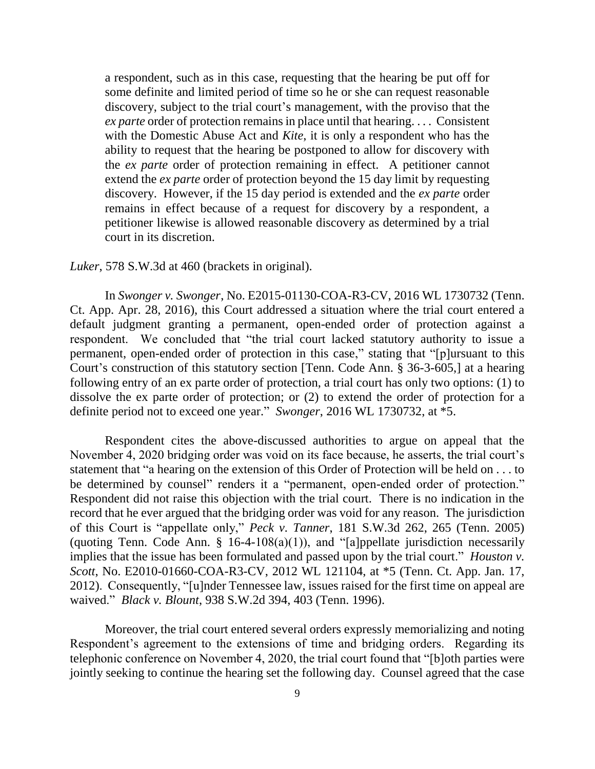a respondent, such as in this case, requesting that the hearing be put off for some definite and limited period of time so he or she can request reasonable discovery, subject to the trial court's management, with the proviso that the *ex parte* order of protection remains in place until that hearing. . . . Consistent with the Domestic Abuse Act and *Kite*, it is only a respondent who has the ability to request that the hearing be postponed to allow for discovery with the *ex parte* order of protection remaining in effect. A petitioner cannot extend the *ex parte* order of protection beyond the 15 day limit by requesting discovery. However, if the 15 day period is extended and the *ex parte* order remains in effect because of a request for discovery by a respondent, a petitioner likewise is allowed reasonable discovery as determined by a trial court in its discretion.

#### *Luker*, 578 S.W.3d at 460 (brackets in original).

In *Swonger v. Swonger*, No. E2015-01130-COA-R3-CV, 2016 WL 1730732 (Tenn. Ct. App. Apr. 28, 2016), this Court addressed a situation where the trial court entered a default judgment granting a permanent, open-ended order of protection against a respondent. We concluded that "the trial court lacked statutory authority to issue a permanent, open-ended order of protection in this case," stating that "[p]ursuant to this Court's construction of this statutory section [Tenn. Code Ann. § 36-3-605,] at a hearing following entry of an ex parte order of protection, a trial court has only two options: (1) to dissolve the ex parte order of protection; or (2) to extend the order of protection for a definite period not to exceed one year." *Swonger*, 2016 WL 1730732, at \*5.

Respondent cites the above-discussed authorities to argue on appeal that the November 4, 2020 bridging order was void on its face because, he asserts, the trial court's statement that "a hearing on the extension of this Order of Protection will be held on . . . to be determined by counsel" renders it a "permanent, open-ended order of protection." Respondent did not raise this objection with the trial court. There is no indication in the record that he ever argued that the bridging order was void for any reason. The jurisdiction of this Court is "appellate only," *Peck v. Tanner*, 181 S.W.3d 262, 265 (Tenn. 2005) (quoting Tenn. Code Ann.  $\S$  16-4-108(a)(1)), and "[a]ppellate jurisdiction necessarily implies that the issue has been formulated and passed upon by the trial court." *Houston v. Scott*, No. E2010-01660-COA-R3-CV, 2012 WL 121104, at \*5 (Tenn. Ct. App. Jan. 17, 2012). Consequently, "[u]nder Tennessee law, issues raised for the first time on appeal are waived." *Black v. Blount*, 938 S.W.2d 394, 403 (Tenn. 1996).

Moreover, the trial court entered several orders expressly memorializing and noting Respondent's agreement to the extensions of time and bridging orders. Regarding its telephonic conference on November 4, 2020, the trial court found that "[b]oth parties were jointly seeking to continue the hearing set the following day. Counsel agreed that the case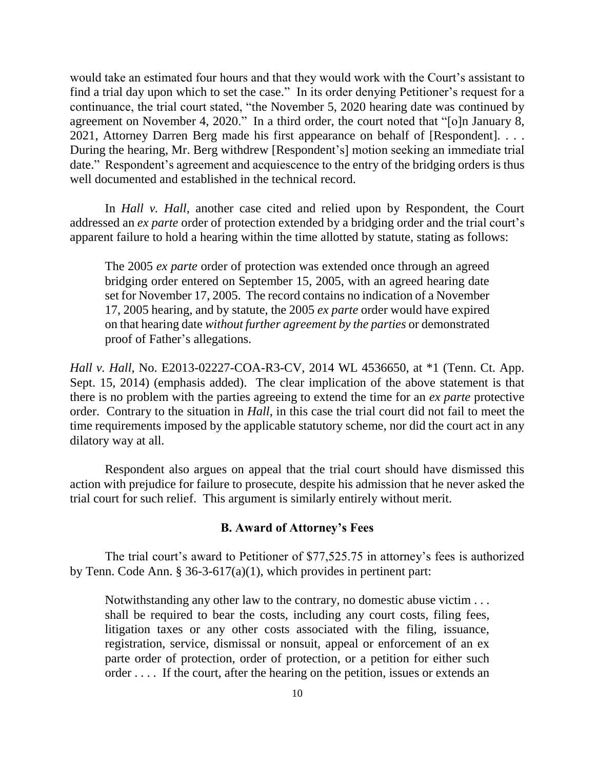would take an estimated four hours and that they would work with the Court's assistant to find a trial day upon which to set the case." In its order denying Petitioner's request for a continuance, the trial court stated, "the November 5, 2020 hearing date was continued by agreement on November 4, 2020." In a third order, the court noted that "[o]n January 8, 2021, Attorney Darren Berg made his first appearance on behalf of [Respondent]. . . . During the hearing, Mr. Berg withdrew [Respondent's] motion seeking an immediate trial date." Respondent's agreement and acquiescence to the entry of the bridging orders is thus well documented and established in the technical record.

In *Hall v. Hall*, another case cited and relied upon by Respondent, the Court addressed an *ex parte* order of protection extended by a bridging order and the trial court's apparent failure to hold a hearing within the time allotted by statute, stating as follows:

The 2005 *ex parte* order of protection was extended once through an agreed bridging order entered on September 15, 2005, with an agreed hearing date set for November 17, 2005. The record contains no indication of a November 17, 2005 hearing, and by statute, the 2005 *ex parte* order would have expired on that hearing date *without further agreement by the parties* or demonstrated proof of Father's allegations.

*Hall v. Hall*, No. E2013-02227-COA-R3-CV, 2014 WL 4536650, at \*1 (Tenn. Ct. App. Sept. 15, 2014) (emphasis added). The clear implication of the above statement is that there is no problem with the parties agreeing to extend the time for an *ex parte* protective order. Contrary to the situation in *Hall*, in this case the trial court did not fail to meet the time requirements imposed by the applicable statutory scheme, nor did the court act in any dilatory way at all.

Respondent also argues on appeal that the trial court should have dismissed this action with prejudice for failure to prosecute, despite his admission that he never asked the trial court for such relief. This argument is similarly entirely without merit.

#### **B. Award of Attorney's Fees**

The trial court's award to Petitioner of \$77,525.75 in attorney's fees is authorized by Tenn. Code Ann. § 36-3-617(a)(1), which provides in pertinent part:

Notwithstanding any other law to the contrary, no domestic abuse victim . . . shall be required to bear the costs, including any court costs, filing fees, litigation taxes or any other costs associated with the filing, issuance, registration, service, dismissal or nonsuit, appeal or enforcement of an ex parte order of protection, order of protection, or a petition for either such order . . . . If the court, after the hearing on the petition, issues or extends an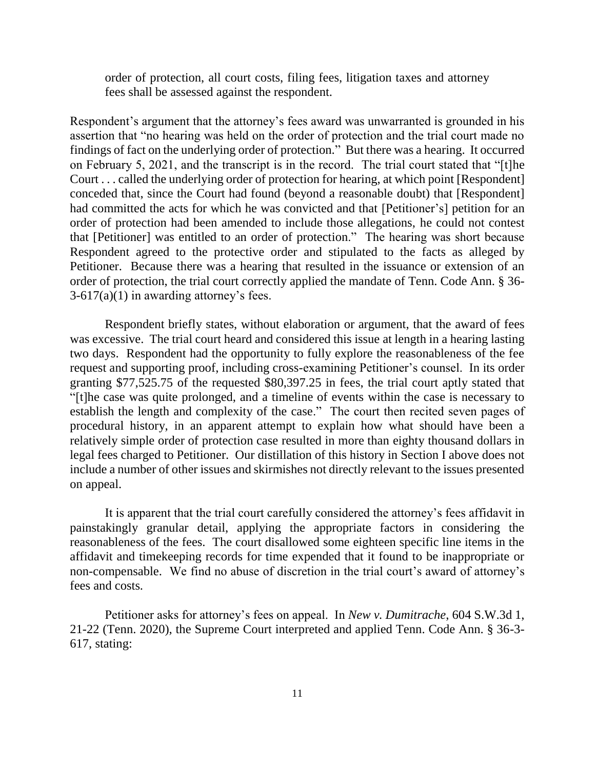order of protection, all court costs, filing fees, litigation taxes and attorney fees shall be assessed against the respondent.

Respondent's argument that the attorney's fees award was unwarranted is grounded in his assertion that "no hearing was held on the order of protection and the trial court made no findings of fact on the underlying order of protection." But there was a hearing. It occurred on February 5, 2021, and the transcript is in the record. The trial court stated that "[t]he Court . . . called the underlying order of protection for hearing, at which point [Respondent] conceded that, since the Court had found (beyond a reasonable doubt) that [Respondent] had committed the acts for which he was convicted and that [Petitioner's] petition for an order of protection had been amended to include those allegations, he could not contest that [Petitioner] was entitled to an order of protection." The hearing was short because Respondent agreed to the protective order and stipulated to the facts as alleged by Petitioner. Because there was a hearing that resulted in the issuance or extension of an order of protection, the trial court correctly applied the mandate of Tenn. Code Ann. § 36-  $3-617(a)(1)$  in awarding attorney's fees.

Respondent briefly states, without elaboration or argument, that the award of fees was excessive. The trial court heard and considered this issue at length in a hearing lasting two days. Respondent had the opportunity to fully explore the reasonableness of the fee request and supporting proof, including cross-examining Petitioner's counsel. In its order granting \$77,525.75 of the requested \$80,397.25 in fees, the trial court aptly stated that "[t]he case was quite prolonged, and a timeline of events within the case is necessary to establish the length and complexity of the case." The court then recited seven pages of procedural history, in an apparent attempt to explain how what should have been a relatively simple order of protection case resulted in more than eighty thousand dollars in legal fees charged to Petitioner. Our distillation of this history in Section I above does not include a number of other issues and skirmishes not directly relevant to the issues presented on appeal.

It is apparent that the trial court carefully considered the attorney's fees affidavit in painstakingly granular detail, applying the appropriate factors in considering the reasonableness of the fees. The court disallowed some eighteen specific line items in the affidavit and timekeeping records for time expended that it found to be inappropriate or non-compensable. We find no abuse of discretion in the trial court's award of attorney's fees and costs.

Petitioner asks for attorney's fees on appeal. In *New v. Dumitrache*, 604 S.W.3d 1, 21-22 (Tenn. 2020), the Supreme Court interpreted and applied Tenn. Code Ann. § 36-3- 617, stating: